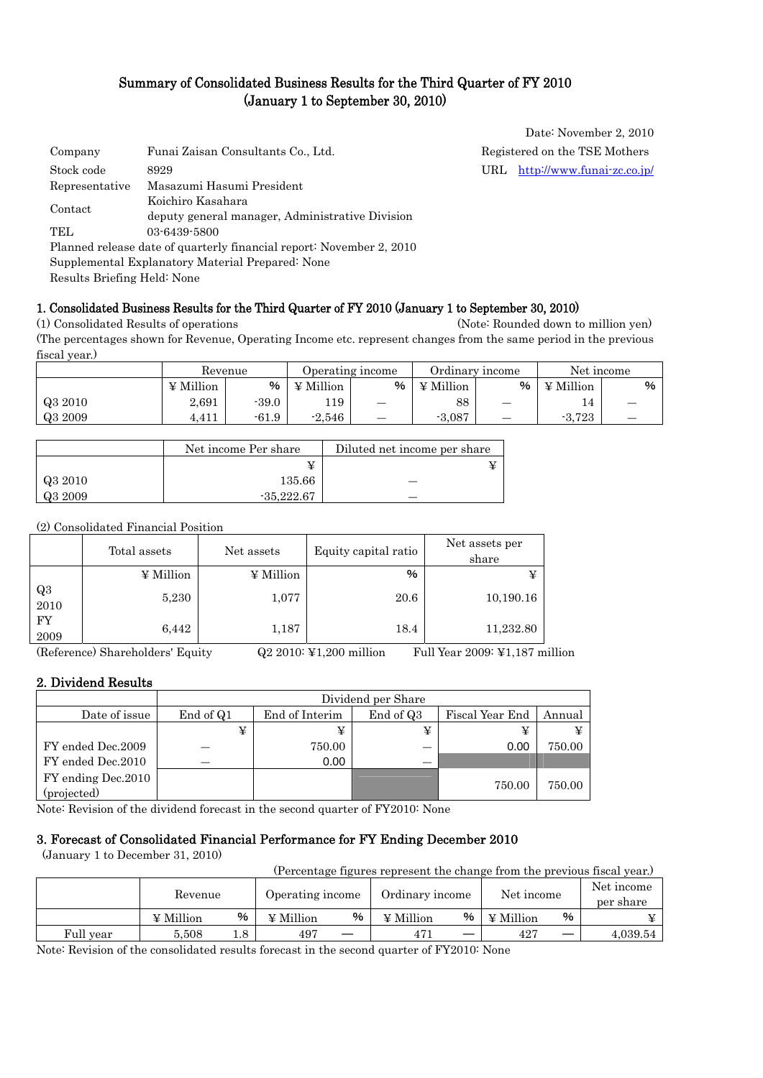## Summary of Consolidated Business Results for the Third Quarter of FY 2010 (January 1 to September 30, 2010)

| Company        | Funai Zaisan Consultants Co., Ltd.                                   |     | Registered on the TSE Mothers |
|----------------|----------------------------------------------------------------------|-----|-------------------------------|
| Stock code     | 8929                                                                 | URL | http://www.funai-zc.co.jp/    |
| Representative | Masazumi Hasumi President                                            |     |                               |
| Contact        | Koichiro Kasahara                                                    |     |                               |
|                | deputy general manager, Administrative Division                      |     |                               |
| TEL.           | 03-6439-5800                                                         |     |                               |
|                | Planned release date of quarterly financial report: November 2, 2010 |     |                               |
|                | Supplemental Explanatory Material Prepared: None                     |     |                               |
|                |                                                                      |     |                               |

Date: November 2, 2010

Results Briefing Held: None

#### 1. Consolidated Business Results for the Third Quarter of FY 2010 (January 1 to September 30, 2010)

(1) Consolidated Results of operations (Note: Rounded down to million yen) (The percentages shown for Revenue, Operating Income etc. represent changes from the same period in the previous fiscal year.)

|         | Revenue          |         | Operating income |                          | Ordinary income  |                          | Net income |   |
|---------|------------------|---------|------------------|--------------------------|------------------|--------------------------|------------|---|
|         | $\angle$ Million | %       | ¥ Million        | %                        | $\angle$ Million | %                        | ¥ Million  | % |
| Q3 2010 | 2,691            | $-39.0$ | 119              |                          | 88               |                          | 14         |   |
| Q3 2009 | 4,411            | $-61.9$ | $-2.546$         | $\overline{\phantom{0}}$ | $-3,087$         | $\overline{\phantom{m}}$ | $-3.723$   |   |

|         | Net income Per share | Diluted net income per share |
|---------|----------------------|------------------------------|
|         |                      |                              |
| Q3 2010 | 135.66               |                              |
| Q3 2009 | $-35.222.67$         |                              |

#### (2) Consolidated Financial Position

|            | Total assets | Net assets       | Equity capital ratio | Net assets per<br>share |
|------------|--------------|------------------|----------------------|-------------------------|
|            | ¥ Million    | $\angle$ Million | %                    | ¥                       |
| Q3<br>2010 | 5,230        | 1,077            | 20.6                 | 10,190.16               |
| FY<br>2009 | 6,442        | 1,187            | 18.4                 | 11,232.80               |

(Reference) Shareholders' Equity Q2 2010: ¥1,200 million Full Year 2009: ¥1,187 million

#### 2. Dividend Results

|                                    | Dividend per Share |                |           |                 |        |  |
|------------------------------------|--------------------|----------------|-----------|-----------------|--------|--|
| Date of issue                      | End of Q1          | End of Interim | End of Q3 | Fiscal Year End | Annual |  |
|                                    | ¥                  |                | ¥         | ¥               |        |  |
| FY ended Dec.2009                  |                    | 750.00         |           | 0.00            | 750.00 |  |
| FY ended Dec.2010                  |                    | 0.00           |           |                 |        |  |
| FY ending Dec. 2010<br>(projected) |                    |                |           | 750.00          | 750.00 |  |

Note: Revision of the dividend forecast in the second quarter of FY2010: None

### 3. Forecast of Consolidated Financial Performance for FY Ending December 2010

(January 1 to December 31, 2010)

(Percentage figures represent the change from the previous fiscal year.)

|           | Revenue          |     | Operating income |    | Ordinary income |   | Net income       |    | Net income<br>per share |
|-----------|------------------|-----|------------------|----|-----------------|---|------------------|----|-------------------------|
|           | $\angle$ Million | %   | ¥ Million        | %  | ¥ Million       | % | $\angle$ Million | %  |                         |
| Full year | 5.508            | 1.8 | 497              | __ | 471             | — | 42 <sup>7</sup>  | __ | 4.039.54                |

Note: Revision of the consolidated results forecast in the second quarter of FY2010: None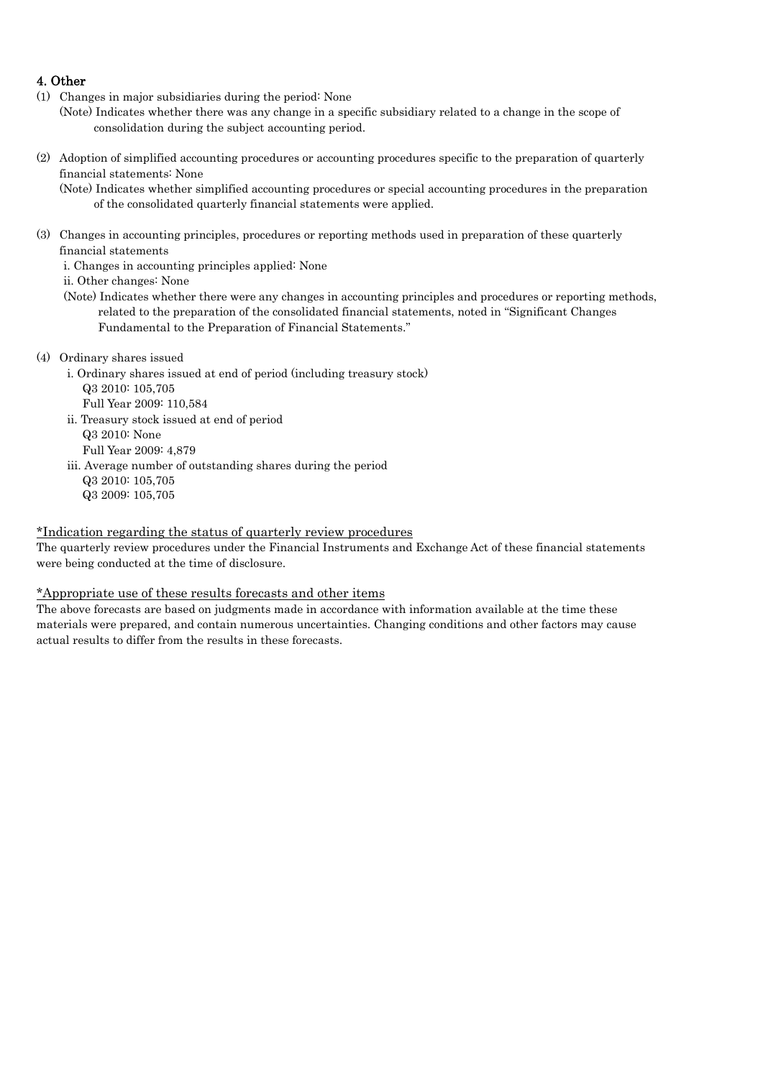### 4. Other

- (1) Changes in major subsidiaries during the period: None
- (Note) Indicates whether there was any change in a specific subsidiary related to a change in the scope of consolidation during the subject accounting period.
- (2) Adoption of simplified accounting procedures or accounting procedures specific to the preparation of quarterly financial statements: None

(Note) Indicates whether simplified accounting procedures or special accounting procedures in the preparation of the consolidated quarterly financial statements were applied.

(3) Changes in accounting principles, procedures or reporting methods used in preparation of these quarterly financial statements

i. Changes in accounting principles applied: None

ii. Other changes: None

- (Note) Indicates whether there were any changes in accounting principles and procedures or reporting methods, related to the preparation of the consolidated financial statements, noted in "Significant Changes Fundamental to the Preparation of Financial Statements."
- (4) Ordinary shares issued
	- i. Ordinary shares issued at end of period (including treasury stock) Q3 2010: 105,705
		- Full Year 2009: 110,584
	- ii. Treasury stock issued at end of period
		- Q3 2010: None
		- Full Year 2009: 4,879
	- iii. Average number of outstanding shares during the period
		- Q3 2010: 105,705
		- Q3 2009: 105,705

#### \*Indication regarding the status of quarterly review procedures

The quarterly review procedures under the Financial Instruments and Exchange Act of these financial statements were being conducted at the time of disclosure.

#### \*Appropriate use of these results forecasts and other items

The above forecasts are based on judgments made in accordance with information available at the time these materials were prepared, and contain numerous uncertainties. Changing conditions and other factors may cause actual results to differ from the results in these forecasts.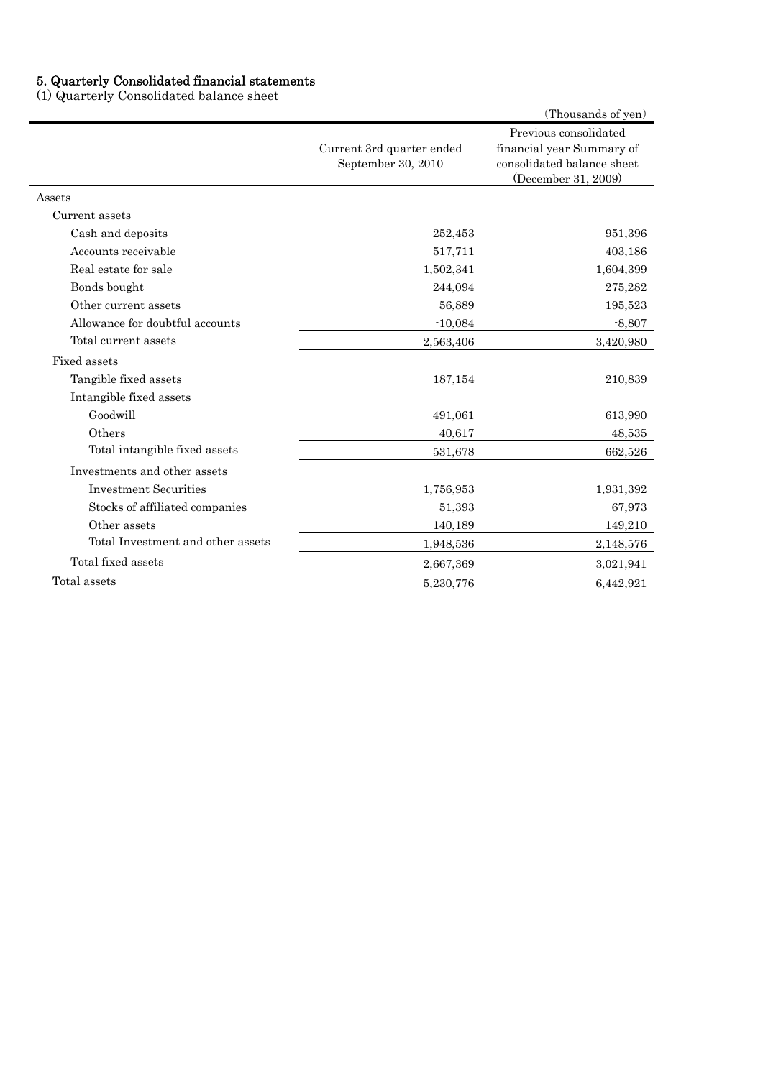#### 5. Quarterly Consolidated financial statements

(1) Quarterly Consolidated balance sheet

|                                   |                                                 | (Thousands of yen)                                                                                      |
|-----------------------------------|-------------------------------------------------|---------------------------------------------------------------------------------------------------------|
|                                   | Current 3rd quarter ended<br>September 30, 2010 | Previous consolidated<br>financial year Summary of<br>consolidated balance sheet<br>(December 31, 2009) |
| Assets                            |                                                 |                                                                                                         |
| Current assets                    |                                                 |                                                                                                         |
| Cash and deposits                 | 252,453                                         | 951,396                                                                                                 |
| Accounts receivable               | 517,711                                         | 403,186                                                                                                 |
| Real estate for sale              | 1,502,341                                       | 1,604,399                                                                                               |
| Bonds bought                      | 244,094                                         | 275,282                                                                                                 |
| Other current assets              | 56,889                                          | 195,523                                                                                                 |
| Allowance for doubtful accounts   | $-10,084$                                       | $-8,807$                                                                                                |
| Total current assets              | 2,563,406                                       | 3,420,980                                                                                               |
| Fixed assets                      |                                                 |                                                                                                         |
| Tangible fixed assets             | 187,154                                         | 210,839                                                                                                 |
| Intangible fixed assets           |                                                 |                                                                                                         |
| Goodwill                          | 491,061                                         | 613,990                                                                                                 |
| Others                            | 40,617                                          | 48,535                                                                                                  |
| Total intangible fixed assets     | 531,678                                         | 662,526                                                                                                 |
| Investments and other assets      |                                                 |                                                                                                         |
| <b>Investment Securities</b>      | 1,756,953                                       | 1,931,392                                                                                               |
| Stocks of affiliated companies    | 51,393                                          | 67,973                                                                                                  |
| Other assets                      | 140,189                                         | 149,210                                                                                                 |
| Total Investment and other assets | 1,948,536                                       | 2,148,576                                                                                               |
| Total fixed assets                | 2,667,369                                       | 3,021,941                                                                                               |
| Total assets                      | 5,230,776                                       | 6,442,921                                                                                               |
|                                   |                                                 |                                                                                                         |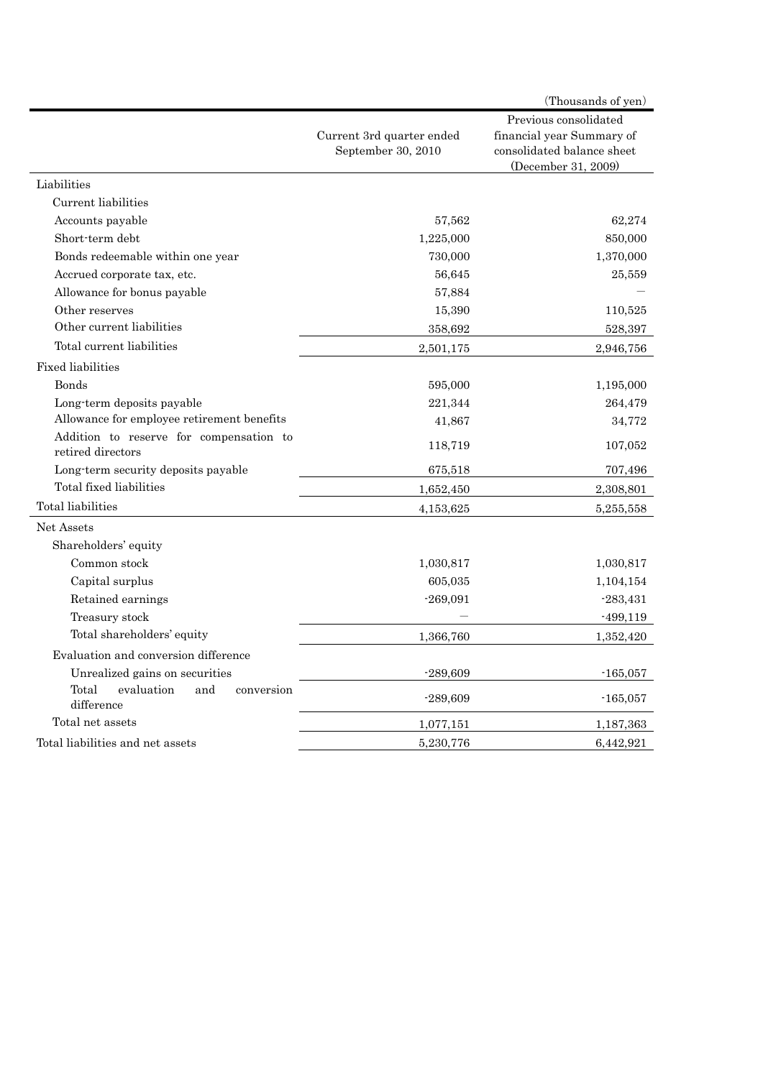|                                                              |                                                 | (Thousands of yen)                                                                                      |
|--------------------------------------------------------------|-------------------------------------------------|---------------------------------------------------------------------------------------------------------|
|                                                              | Current 3rd quarter ended<br>September 30, 2010 | Previous consolidated<br>financial year Summary of<br>consolidated balance sheet<br>(December 31, 2009) |
| Liabilities                                                  |                                                 |                                                                                                         |
| Current liabilities                                          |                                                 |                                                                                                         |
| Accounts payable                                             | 57,562                                          | 62,274                                                                                                  |
| Short-term debt                                              | 1,225,000                                       | 850,000                                                                                                 |
| Bonds redeemable within one year                             | 730,000                                         | 1,370,000                                                                                               |
| Accrued corporate tax, etc.                                  | 56,645                                          | 25,559                                                                                                  |
| Allowance for bonus payable                                  | 57,884                                          |                                                                                                         |
| Other reserves                                               | 15,390                                          | 110,525                                                                                                 |
| Other current liabilities                                    | 358,692                                         | 528,397                                                                                                 |
| Total current liabilities                                    | 2,501,175                                       | 2,946,756                                                                                               |
| <b>Fixed liabilities</b>                                     |                                                 |                                                                                                         |
| <b>Bonds</b>                                                 | 595,000                                         | 1,195,000                                                                                               |
| Long-term deposits payable                                   | 221,344                                         | 264,479                                                                                                 |
| Allowance for employee retirement benefits                   | 41,867                                          | 34,772                                                                                                  |
| Addition to reserve for compensation to<br>retired directors | 118,719                                         | 107,052                                                                                                 |
| Long-term security deposits payable                          | 675,518                                         | 707,496                                                                                                 |
| Total fixed liabilities                                      | 1,652,450                                       | 2,308,801                                                                                               |
| Total liabilities                                            | 4,153,625                                       | 5,255,558                                                                                               |
| Net Assets                                                   |                                                 |                                                                                                         |
| Shareholders' equity                                         |                                                 |                                                                                                         |
| Common stock                                                 | 1,030,817                                       | 1,030,817                                                                                               |
| Capital surplus                                              | 605,035                                         | 1,104,154                                                                                               |
| Retained earnings                                            | $-269,091$                                      | $-283,431$                                                                                              |
| Treasury stock                                               |                                                 | $-499,119$                                                                                              |
| Total shareholders' equity                                   | 1,366,760                                       | 1,352,420                                                                                               |
| Evaluation and conversion difference                         |                                                 |                                                                                                         |
| Unrealized gains on securities                               | $-289,609$                                      | $-165,057$                                                                                              |
| Total<br>evaluation<br>and<br>conversion<br>difference       | $-289,609$                                      | $-165,057$                                                                                              |
| Total net assets                                             | 1,077,151                                       | 1,187,363                                                                                               |
| Total liabilities and net assets                             | 5,230,776                                       | 6,442,921                                                                                               |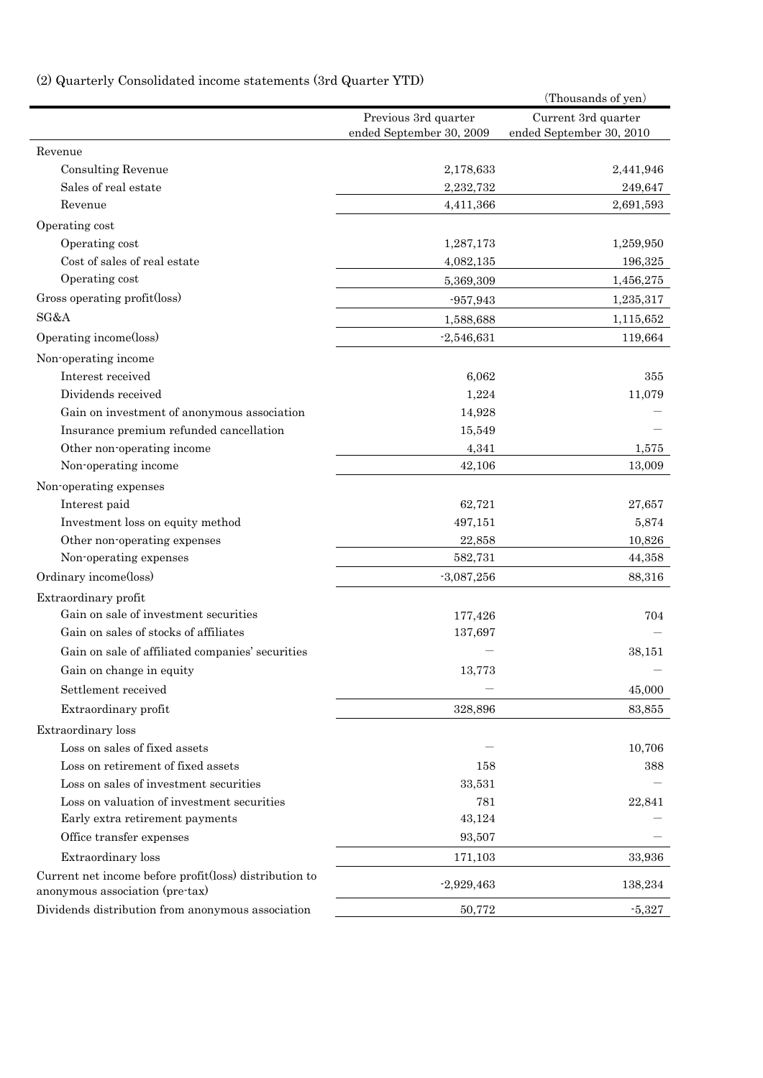# (2) Quarterly Consolidated income statements (3rd Quarter YTD)

| guarierry consonuated monie statements (ord guarier TTD) |                          | (Thousands of yen)       |
|----------------------------------------------------------|--------------------------|--------------------------|
|                                                          | Previous 3rd quarter     | Current 3rd quarter      |
|                                                          | ended September 30, 2009 | ended September 30, 2010 |
| Revenue                                                  |                          |                          |
| <b>Consulting Revenue</b>                                | 2,178,633                | 2,441,946                |
| Sales of real estate                                     | 2,232,732                | 249,647                  |
| Revenue                                                  | 4,411,366                | 2,691,593                |
| Operating cost                                           |                          |                          |
| Operating cost                                           | 1,287,173                | 1,259,950                |
| Cost of sales of real estate                             | 4,082,135                | 196,325                  |
| Operating cost                                           | 5,369,309                | 1,456,275                |
| Gross operating profit(loss)                             | $-957,943$               | 1,235,317                |
| SG&A                                                     | 1,588,688                | 1,115,652                |
| Operating income(loss)                                   | $-2,546,631$             | 119,664                  |
| Non-operating income                                     |                          |                          |
| Interest received                                        | 6,062                    | 355                      |
| Dividends received                                       | 1,224                    | 11,079                   |
| Gain on investment of anonymous association              | 14,928                   |                          |
| Insurance premium refunded cancellation                  | 15,549                   |                          |
| Other non-operating income                               | 4,341                    | 1,575                    |
| Non-operating income                                     | 42,106                   | 13,009                   |
| Non-operating expenses                                   |                          |                          |
| Interest paid                                            | 62,721                   | 27,657                   |
| Investment loss on equity method                         | 497,151                  | 5,874                    |
| Other non-operating expenses                             | 22,858                   | 10,826                   |
| Non-operating expenses                                   | 582,731                  | 44,358                   |
| Ordinary income(loss)                                    | $-3,087,256$             | 88,316                   |
| Extraordinary profit                                     |                          |                          |
| Gain on sale of investment securities                    | 177,426                  | 704                      |
| Gain on sales of stocks of affiliates                    | 137,697                  |                          |
| Gain on sale of affiliated companies' securities         |                          | 38,151                   |
| Gain on change in equity                                 | 13,773                   |                          |
| Settlement received                                      |                          | 45,000                   |
| Extraordinary profit                                     | 328,896                  | 83,855                   |
| Extraordinary loss                                       |                          |                          |
| Loss on sales of fixed assets                            |                          | 10,706                   |
| Loss on retirement of fixed assets                       | 158                      | 388                      |
| Loss on sales of investment securities                   | 33,531                   |                          |
| Loss on valuation of investment securities               | 781                      | 22,841                   |
| Early extra retirement payments                          | 43,124                   |                          |
| Office transfer expenses                                 | 93,507                   |                          |
| Extraordinary loss                                       | 171,103                  | 33,936                   |
| Current net income before profit(loss) distribution to   |                          |                          |
| anonymous association (pre-tax)                          | $-2,929,463$             | 138,234                  |
| Dividends distribution from anonymous association        | 50,772                   | $-5,327$                 |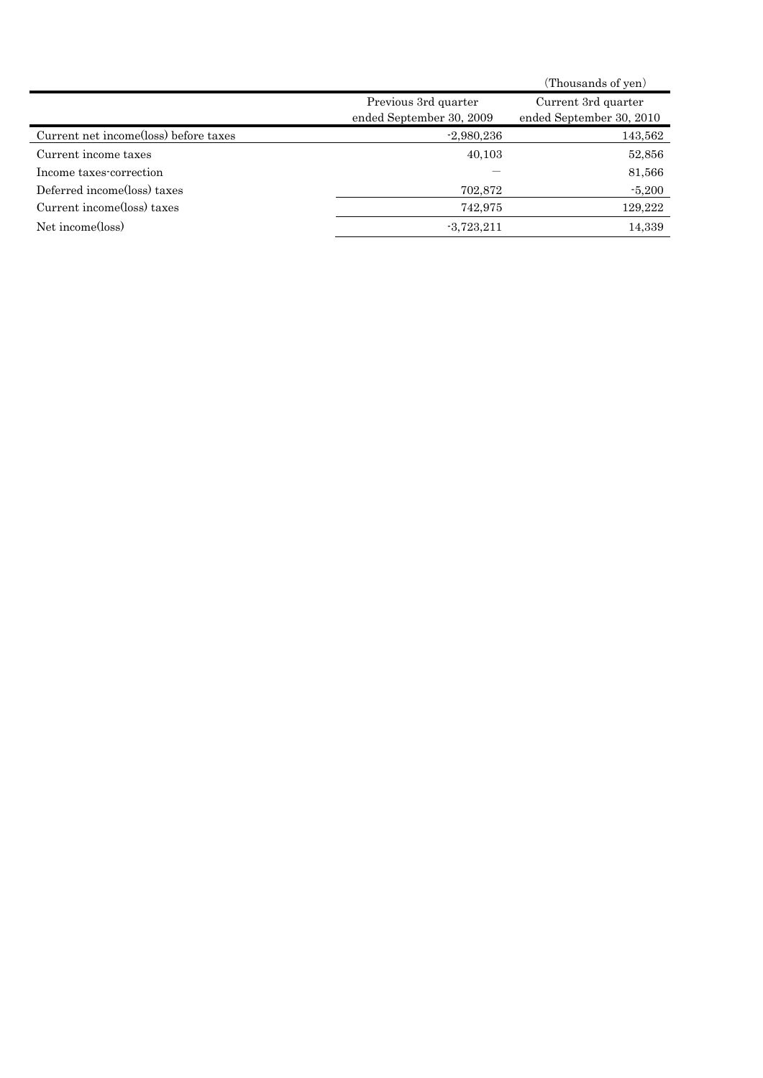|                                       |                                                  | (Thousands of yen)                              |
|---------------------------------------|--------------------------------------------------|-------------------------------------------------|
|                                       | Previous 3rd quarter<br>ended September 30, 2009 | Current 3rd quarter<br>ended September 30, 2010 |
| Current net income(loss) before taxes | $-2,980,236$                                     | 143,562                                         |
| Current income taxes                  | 40,103                                           | 52,856                                          |
| Income taxes-correction               |                                                  | 81,566                                          |
| Deferred income(loss) taxes           | 702,872                                          | $-5,200$                                        |
| Current income(loss) taxes            | 742,975                                          | 129,222                                         |
| Net income(loss)                      | $-3,723,211$                                     | 14,339                                          |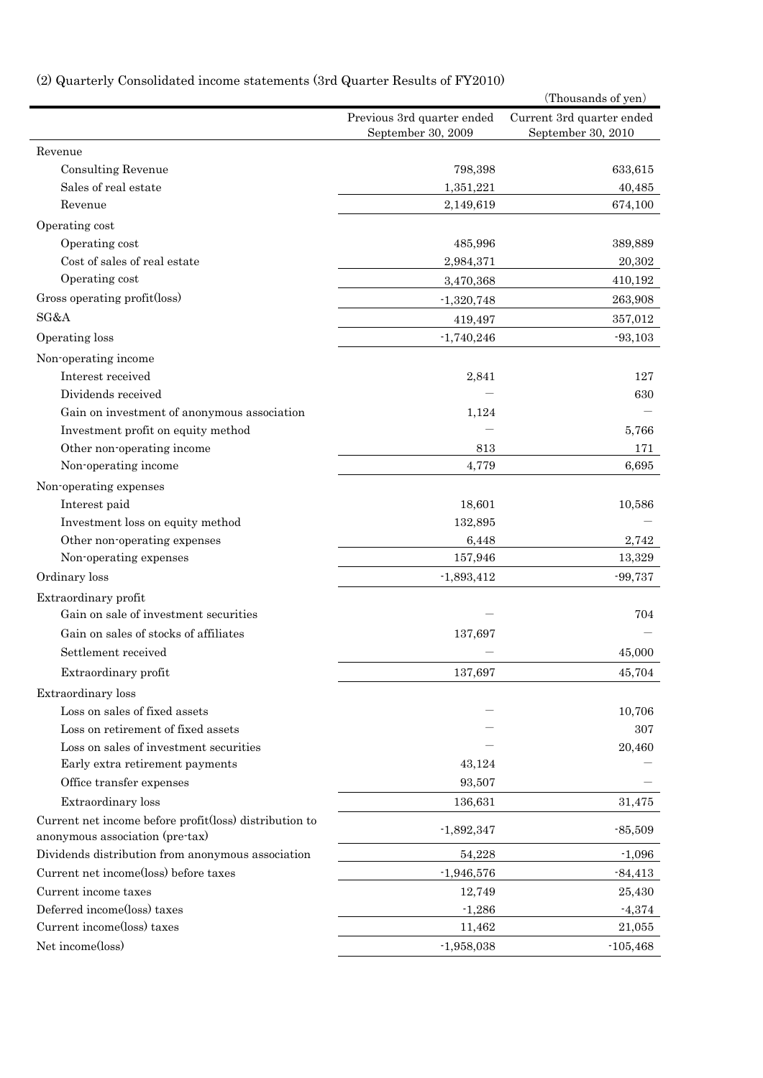# (2) Quarterly Consolidated income statements (3rd Quarter Results of FY2010)

|                                                        |                            | (Thousands of yen)        |
|--------------------------------------------------------|----------------------------|---------------------------|
|                                                        | Previous 3rd quarter ended | Current 3rd quarter ended |
|                                                        | September 30, 2009         | September 30, 2010        |
| Revenue                                                |                            |                           |
| Consulting Revenue                                     | 798,398                    | 633,615                   |
| Sales of real estate                                   | 1,351,221                  | 40,485                    |
| Revenue                                                | 2,149,619                  | 674,100                   |
| Operating cost                                         |                            |                           |
| Operating cost                                         | 485,996                    | 389,889                   |
| Cost of sales of real estate                           | 2,984,371                  | 20,302                    |
| Operating cost                                         | 3,470,368                  | 410,192                   |
| Gross operating profit(loss)                           | $-1,320,748$               | 263,908                   |
| SG&A                                                   | 419,497                    | 357,012                   |
| Operating loss                                         | $-1,740,246$               | $-93,103$                 |
| Non-operating income                                   |                            |                           |
| Interest received                                      | 2,841                      | 127                       |
| Dividends received                                     |                            | 630                       |
| Gain on investment of anonymous association            | 1,124                      |                           |
| Investment profit on equity method                     |                            | 5,766                     |
| Other non-operating income                             | 813                        | 171                       |
| Non-operating income                                   | 4,779                      | 6,695                     |
| Non-operating expenses                                 |                            |                           |
| Interest paid                                          | 18,601                     | 10,586                    |
| Investment loss on equity method                       | 132,895                    |                           |
| Other non-operating expenses                           | 6,448                      | 2,742                     |
| Non-operating expenses                                 | 157,946                    | 13,329                    |
| Ordinary loss                                          | $-1,893,412$               | $-99,737$                 |
| Extraordinary profit                                   |                            |                           |
| Gain on sale of investment securities                  |                            | 704                       |
| Gain on sales of stocks of affiliates                  | 137,697                    |                           |
| Settlement received                                    |                            | 45,000                    |
| Extraordinary profit                                   | 137,697                    | 45,704                    |
| Extraordinary loss                                     |                            |                           |
| Loss on sales of fixed assets                          |                            | 10,706                    |
| Loss on retirement of fixed assets                     |                            | 307                       |
| Loss on sales of investment securities                 |                            | 20,460                    |
| Early extra retirement payments                        | 43,124                     |                           |
| Office transfer expenses                               | 93,507                     |                           |
| Extraordinary loss                                     | 136,631                    | 31,475                    |
| Current net income before profit(loss) distribution to |                            |                           |
| anonymous association (pre-tax)                        | $-1,892,347$               | $-85,509$                 |
| Dividends distribution from anonymous association      | 54,228                     | $-1,096$                  |
| Current net income(loss) before taxes                  | $-1,946,576$               | $-84,413$                 |
| Current income taxes                                   | 12,749                     | 25,430                    |
| Deferred income(loss) taxes                            | $-1,286$                   | $-4,374$                  |
| Current income(loss) taxes                             | 11,462                     | 21,055                    |
| Net income(loss)                                       | $-1,958,038$               | $-105,468$                |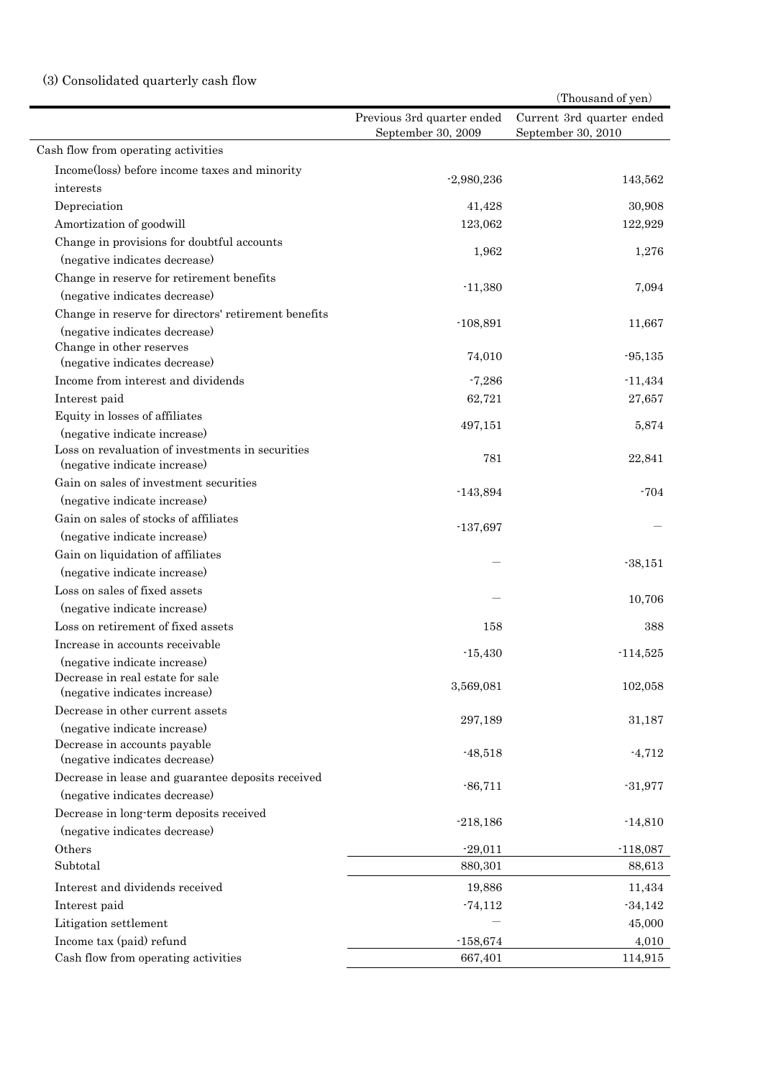## (3) Consolidated quarterly cash flow

|                                                                        |                                                  | (Thousand of yen)                               |
|------------------------------------------------------------------------|--------------------------------------------------|-------------------------------------------------|
|                                                                        | Previous 3rd quarter ended<br>September 30, 2009 | Current 3rd quarter ended<br>September 30, 2010 |
| Cash flow from operating activities                                    |                                                  |                                                 |
| Income(loss) before income taxes and minority                          |                                                  |                                                 |
| interests                                                              | $-2,980,236$                                     | 143,562                                         |
| Depreciation                                                           | 41,428                                           | 30,908                                          |
| Amortization of goodwill                                               | 123,062                                          | 122,929                                         |
| Change in provisions for doubtful accounts                             |                                                  |                                                 |
| (negative indicates decrease)                                          | 1,962                                            | 1,276                                           |
| Change in reserve for retirement benefits                              |                                                  |                                                 |
| (negative indicates decrease)                                          | $-11,380$                                        | 7,094                                           |
| Change in reserve for directors' retirement benefits                   |                                                  |                                                 |
| (negative indicates decrease)                                          | $-108,891$                                       | 11,667                                          |
| Change in other reserves                                               | 74,010                                           | $-95,135$                                       |
| (negative indicates decrease)                                          |                                                  |                                                 |
| Income from interest and dividends                                     | $-7,286$                                         | $-11,434$                                       |
| Interest paid                                                          | 62,721                                           | 27,657                                          |
| Equity in losses of affiliates                                         | 497,151                                          | 5,874                                           |
| (negative indicate increase)                                           |                                                  |                                                 |
| Loss on revaluation of investments in securities                       | 781                                              | 22,841                                          |
| (negative indicate increase)<br>Gain on sales of investment securities |                                                  |                                                 |
|                                                                        | $-143,894$                                       | $-704$                                          |
| (negative indicate increase)<br>Gain on sales of stocks of affiliates  |                                                  |                                                 |
|                                                                        | $-137,697$                                       |                                                 |
| (negative indicate increase)                                           |                                                  |                                                 |
| Gain on liquidation of affiliates                                      |                                                  | $-38,151$                                       |
| (negative indicate increase)                                           |                                                  |                                                 |
| Loss on sales of fixed assets                                          |                                                  | 10,706                                          |
| (negative indicate increase)                                           |                                                  |                                                 |
| Loss on retirement of fixed assets                                     | 158                                              | 388                                             |
| Increase in accounts receivable                                        | $-15,430$                                        | $-114,525$                                      |
| (negative indicate increase)                                           |                                                  |                                                 |
| Decrease in real estate for sale<br>(negative indicates increase)      | 3,569,081                                        | 102,058                                         |
| Decrease in other current assets                                       |                                                  |                                                 |
| (negative indicate increase)                                           | 297,189                                          | 31,187                                          |
| Decrease in accounts payable                                           |                                                  |                                                 |
| (negative indicates decrease)                                          | $-48,518$                                        | $-4,712$                                        |
| Decrease in lease and guarantee deposits received                      |                                                  |                                                 |
| (negative indicates decrease)                                          | $-86,711$                                        | $-31,977$                                       |
| Decrease in long-term deposits received                                |                                                  |                                                 |
| (negative indicates decrease)                                          | $-218,186$                                       | $-14,810$                                       |
| Others                                                                 | $-29,011$                                        | $-118,087$                                      |
| Subtotal                                                               | 880,301                                          | 88,613                                          |
| Interest and dividends received                                        | 19,886                                           | 11,434                                          |
| Interest paid                                                          | $-74,112$                                        | $-34,142$                                       |
| Litigation settlement                                                  |                                                  | 45,000                                          |
| Income tax (paid) refund                                               | $-158,674$                                       | 4,010                                           |
| Cash flow from operating activities                                    | 667,401                                          | 114,915                                         |
|                                                                        |                                                  |                                                 |